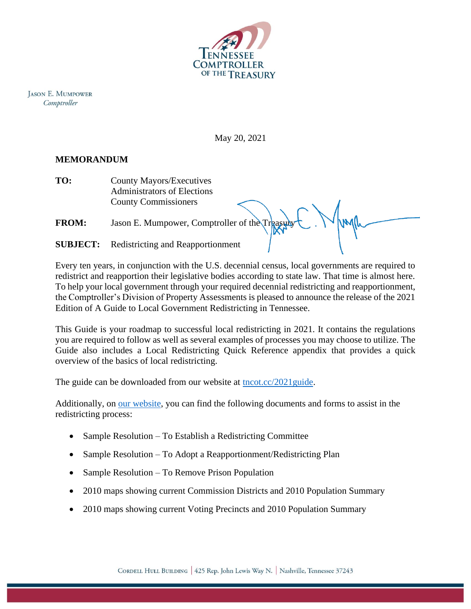

**JASON E. MUMPOWER** Comptroller

May 20, 2021

## **MEMORANDUM**

**TO:** County Mayors/Executives Administrators of Elections County Commissioners

**FROM:** Jason E. Mumpower, Comptroller of the Treasury

**SUBJECT:** Redistricting and Reapportionment

Every ten years, in conjunction with the U.S. decennial census, local governments are required to redistrict and reapportion their legislative bodies according to state law. That time is almost here. To help your local government through your required decennial redistricting and reapportionment, the Comptroller's Division of Property Assessments is pleased to announce the release of the 2021 Edition of A Guide to Local Government Redistricting in Tennessee.

This Guide is your roadmap to successful local redistricting in 2021. It contains the regulations you are required to follow as well as several examples of processes you may choose to utilize. The Guide also includes a Local Redistricting Quick Reference appendix that provides a quick overview of the basics of local redistricting.

The guide can be downloaded from our website at [tncot.cc/2021guide.](http://tncot.cc/2021guide)

Additionally, on [our website,](https://comptroller.tn.gov/office-functions/pa/gisredistricting/redistricting.html) you can find the following documents and forms to assist in the redistricting process:

- Sample Resolution To Establish a Redistricting Committee
- Sample Resolution To Adopt a Reapportionment/Redistricting Plan
- Sample Resolution To Remove Prison Population
- 2010 maps showing current Commission Districts and 2010 Population Summary
- 2010 maps showing current Voting Precincts and 2010 Population Summary